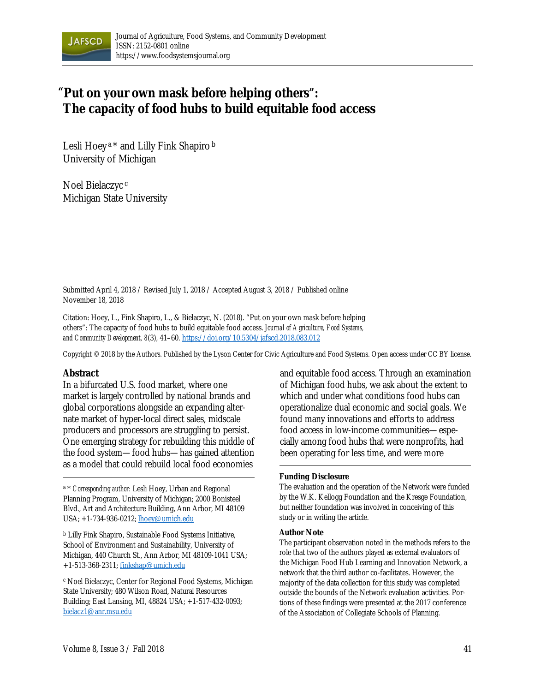

# **"Put on your own mask before helping others": The capacity of food hubs to build equitable food access**

Lesli Hoey<sup>a</sup>\* and Lilly Fink Shapiro<sup>b</sup> University of Michigan

Noel Bielaczyc <sup>c</sup> Michigan State University

Submitted April 4, 2018 / Revised July 1, 2018 / Accepted August 3, 2018 / Published online November 18, 2018

Citation: Hoey, L., Fink Shapiro, L., & Bielaczyc, N. (2018). "Put on your own mask before helping others": The capacity of food hubs to build equitable food access. *Journal of Agriculture, Food Systems, and Community Development, 8*(3), 41–60. https://doi.org/10.5304/jafscd.2018.083.012

Copyright © 2018 by the Authors. Published by the Lyson Center for Civic Agriculture and Food Systems. Open access under CC BY license.

### **Abstract**

In a bifurcated U.S. food market, where one market is largely controlled by national brands and global corporations alongside an expanding alternate market of hyper-local direct sales, midscale producers and processors are struggling to persist. One emerging strategy for rebuilding this middle of the food system—food hubs—has gained attention as a model that could rebuild local food economies

a \* *Corresponding author:* Lesli Hoey, Urban and Regional Planning Program, University of Michigan; 2000 Bonisteel Blvd., Art and Architecture Building, Ann Arbor, MI 48109 USA; +1-734-936-0212; lhoey@umich.edu

b Lilly Fink Shapiro, Sustainable Food Systems Initiative, School of Environment and Sustainability, University of Michigan, 440 Church St., Ann Arbor, MI 48109-1041 USA; +1-513-368-2311; finkshap@umich.edu

c Noel Bielaczyc, Center for Regional Food Systems, Michigan State University; 480 Wilson Road, Natural Resources Building; East Lansing, MI, 48824 USA; +1-517-432-0093; bielacz1@anr.msu.edu

and equitable food access. Through an examination of Michigan food hubs, we ask about the extent to which and under what conditions food hubs can operationalize dual economic and social goals. We found many innovations and efforts to address food access in low-income communities—especially among food hubs that were nonprofits, had been operating for less time, and were more

#### **Funding Disclosure**

The evaluation and the operation of the Network were funded by the W.K. Kellogg Foundation and the Kresge Foundation, but neither foundation was involved in conceiving of this study or in writing the article.

#### **Author Note**

The participant observation noted in the methods refers to the role that two of the authors played as external evaluators of the Michigan Food Hub Learning and Innovation Network, a network that the third author co-facilitates. However, the majority of the data collection for this study was completed outside the bounds of the Network evaluation activities. Portions of these findings were presented at the 2017 conference of the Association of Collegiate Schools of Planning.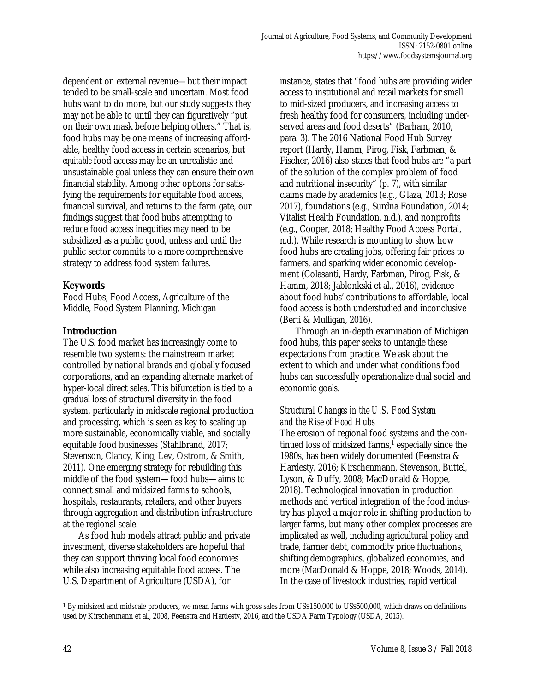dependent on external revenue—but their impact tended to be small-scale and uncertain. Most food hubs want to do more, but our study suggests they may not be able to until they can figuratively "put on their own mask before helping others." That is, food hubs may be one means of increasing affordable, healthy food access in certain scenarios, but *equitable* food access may be an unrealistic and unsustainable goal unless they can ensure their own financial stability. Among other options for satisfying the requirements for equitable food access, financial survival, and returns to the farm gate, our findings suggest that food hubs attempting to reduce food access inequities may need to be subsidized as a public good, unless and until the public sector commits to a more comprehensive strategy to address food system failures.

# **Keywords**

Food Hubs, Food Access, Agriculture of the Middle, Food System Planning, Michigan

# **Introduction**

The U.S. food market has increasingly come to resemble two systems: the mainstream market controlled by national brands and globally focused corporations, and an expanding alternate market of hyper-local direct sales. This bifurcation is tied to a gradual loss of structural diversity in the food system, particularly in midscale regional production and processing, which is seen as key to scaling up more sustainable, economically viable, and socially equitable food businesses (Stahlbrand, 2017; Stevenson, Clancy, King, Lev, Ostrom, & Smith, 2011). One emerging strategy for rebuilding this middle of the food system—food hubs—aims to connect small and midsized farms to schools, hospitals, restaurants, retailers, and other buyers through aggregation and distribution infrastructure at the regional scale.

 As food hub models attract public and private investment, diverse stakeholders are hopeful that they can support thriving local food economies while also increasing equitable food access. The U.S. Department of Agriculture (USDA), for

instance, states that "food hubs are providing wider access to institutional and retail markets for small to mid-sized producers, and increasing access to fresh healthy food for consumers, including underserved areas and food deserts" (Barham, 2010, para. 3). The 2016 National Food Hub Survey report (Hardy, Hamm, Pirog, Fisk, Farbman, & Fischer, 2016) also states that food hubs are "a part of the solution of the complex problem of food and nutritional insecurity" (p. 7), with similar claims made by academics (e.g., Glaza, 2013; Rose 2017), foundations (e.g., Surdna Foundation, 2014; Vitalist Health Foundation, n.d.), and nonprofits (e.g., Cooper, 2018; Healthy Food Access Portal, n.d.). While research is mounting to show how food hubs are creating jobs, offering fair prices to farmers, and sparking wider economic development (Colasanti, Hardy, Farbman, Pirog, Fisk, & Hamm, 2018; Jablonkski et al., 2016), evidence about food hubs' contributions to affordable, local food access is both understudied and inconclusive (Berti & Mulligan, 2016).

 Through an in-depth examination of Michigan food hubs, this paper seeks to untangle these expectations from practice. We ask about the extent to which and under what conditions food hubs can successfully operationalize dual social and economic goals.

# *Structural Changes in the U.S. Food System and the Rise of Food Hubs*

The erosion of regional food systems and the continued loss of midsized farms,<sup>1</sup> especially since the 1980s, has been widely documented (Feenstra & Hardesty, 2016; Kirschenmann, Stevenson, Buttel, Lyson, & Duffy, 2008; MacDonald & Hoppe, 2018). Technological innovation in production methods and vertical integration of the food industry has played a major role in shifting production to larger farms, but many other complex processes are implicated as well, including agricultural policy and trade, farmer debt, commodity price fluctuations, shifting demographics, globalized economies, and more (MacDonald & Hoppe, 2018; Woods, 2014). In the case of livestock industries, rapid vertical

<sup>&</sup>lt;sup>1</sup> By midsized and midscale producers, we mean farms with gross sales from US\$150,000 to US\$500,000, which draws on definitions used by Kirschenmann et al., 2008, Feenstra and Hardesty, 2016, and the USDA Farm Typology (USDA, 2015).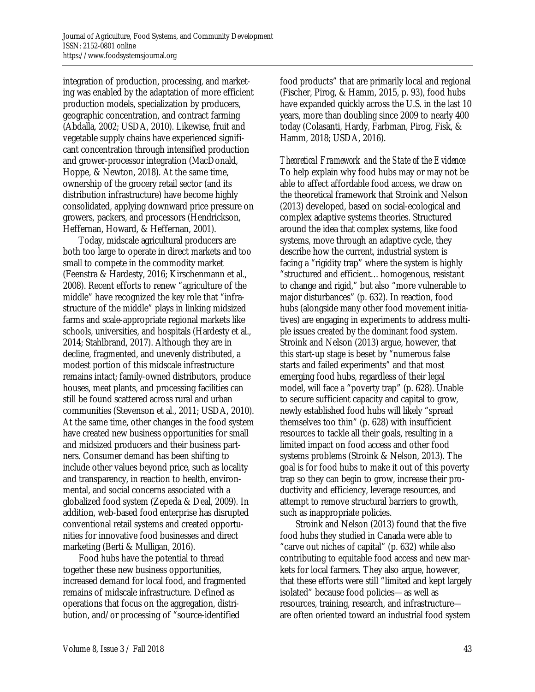integration of production, processing, and marketing was enabled by the adaptation of more efficient production models, specialization by producers, geographic concentration, and contract farming (Abdalla, 2002; USDA, 2010). Likewise, fruit and vegetable supply chains have experienced significant concentration through intensified production and grower-processor integration (MacDonald, Hoppe, & Newton, 2018). At the same time, ownership of the grocery retail sector (and its distribution infrastructure) have become highly consolidated, applying downward price pressure on growers, packers, and processors (Hendrickson, Heffernan, Howard, & Heffernan, 2001).

 Today, midscale agricultural producers are both too large to operate in direct markets and too small to compete in the commodity market (Feenstra & Hardesty, 2016; Kirschenmann et al., 2008). Recent efforts to renew "agriculture of the middle" have recognized the key role that "infrastructure of the middle" plays in linking midsized farms and scale-appropriate regional markets like schools, universities, and hospitals (Hardesty et al., 2014; Stahlbrand, 2017). Although they are in decline, fragmented, and unevenly distributed, a modest portion of this midscale infrastructure remains intact; family-owned distributors, produce houses, meat plants, and processing facilities can still be found scattered across rural and urban communities (Stevenson et al., 2011; USDA, 2010). At the same time, other changes in the food system have created new business opportunities for small and midsized producers and their business partners. Consumer demand has been shifting to include other values beyond price, such as locality and transparency, in reaction to health, environmental, and social concerns associated with a globalized food system (Zepeda & Deal, 2009). In addition, web-based food enterprise has disrupted conventional retail systems and created opportunities for innovative food businesses and direct marketing (Berti & Mulligan, 2016).

 Food hubs have the potential to thread together these new business opportunities, increased demand for local food, and fragmented remains of midscale infrastructure. Defined as operations that focus on the aggregation, distribution, and/or processing of "source-identified

food products" that are primarily local and regional (Fischer, Pirog, & Hamm, 2015, p. 93), food hubs have expanded quickly across the U.S. in the last 10 years, more than doubling since 2009 to nearly 400 today (Colasanti, Hardy, Farbman, Pirog, Fisk, & Hamm, 2018; USDA, 2016).

*Theoretical Framework and the State of the Evidence*  To help explain why food hubs may or may not be able to affect affordable food access, we draw on the theoretical framework that Stroink and Nelson (2013) developed, based on social-ecological and complex adaptive systems theories. Structured around the idea that complex systems, like food systems, move through an adaptive cycle, they describe how the current, industrial system is facing a "rigidity trap" where the system is highly "structured and efficient…homogenous, resistant to change and rigid," but also "more vulnerable to major disturbances" (p. 632). In reaction, food hubs (alongside many other food movement initiatives) are engaging in experiments to address multiple issues created by the dominant food system. Stroink and Nelson (2013) argue, however, that this start-up stage is beset by "numerous false starts and failed experiments" and that most emerging food hubs, regardless of their legal model, will face a "poverty trap" (p. 628). Unable to secure sufficient capacity and capital to grow, newly established food hubs will likely "spread themselves too thin" (p. 628) with insufficient resources to tackle all their goals, resulting in a limited impact on food access and other food systems problems (Stroink & Nelson, 2013). The goal is for food hubs to make it out of this poverty trap so they can begin to grow, increase their productivity and efficiency, leverage resources, and attempt to remove structural barriers to growth, such as inappropriate policies.

 Stroink and Nelson (2013) found that the five food hubs they studied in Canada were able to "carve out niches of capital" (p. 632) while also contributing to equitable food access and new markets for local farmers. They also argue, however, that these efforts were still "limited and kept largely isolated" because food policies—as well as resources, training, research, and infrastructure are often oriented toward an industrial food system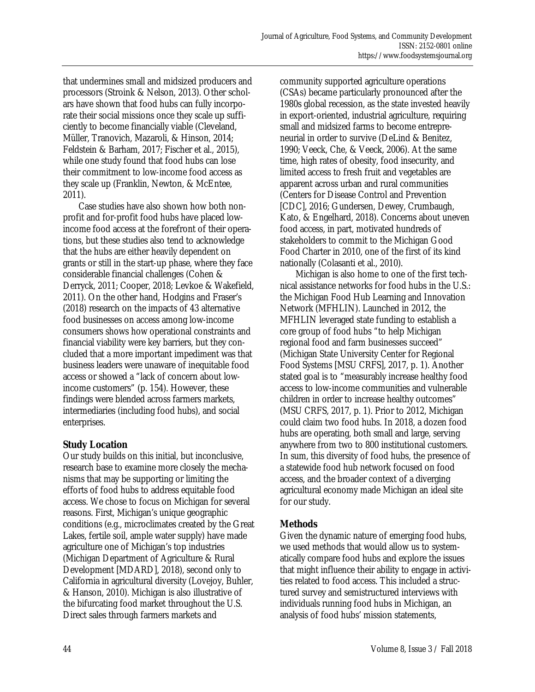that undermines small and midsized producers and processors (Stroink & Nelson, 2013). Other scholars have shown that food hubs can fully incorporate their social missions once they scale up sufficiently to become financially viable (Cleveland, Müller, Tranovich, Mazaroli, & Hinson, 2014; Feldstein & Barham, 2017; Fischer et al., 2015), while one study found that food hubs can lose their commitment to low-income food access as they scale up (Franklin, Newton, & McEntee, 2011).

 Case studies have also shown how both nonprofit and for-profit food hubs have placed lowincome food access at the forefront of their operations, but these studies also tend to acknowledge that the hubs are either heavily dependent on grants or still in the start-up phase, where they face considerable financial challenges (Cohen & Derryck, 2011; Cooper, 2018; Levkoe & Wakefield, 2011). On the other hand, Hodgins and Fraser's (2018) research on the impacts of 43 alternative food businesses on access among low-income consumers shows how operational constraints and financial viability were key barriers, but they concluded that a more important impediment was that business leaders were unaware of inequitable food access or showed a "lack of concern about lowincome customers" (p. 154). However, these findings were blended across farmers markets, intermediaries (including food hubs), and social enterprises.

# **Study Location**

Our study builds on this initial, but inconclusive, research base to examine more closely the mechanisms that may be supporting or limiting the efforts of food hubs to address equitable food access. We chose to focus on Michigan for several reasons. First, Michigan's unique geographic conditions (e.g., microclimates created by the Great Lakes, fertile soil, ample water supply) have made agriculture one of Michigan's top industries (Michigan Department of Agriculture & Rural Development [MDARD], 2018), second only to California in agricultural diversity (Lovejoy, Buhler, & Hanson, 2010). Michigan is also illustrative of the bifurcating food market throughout the U.S. Direct sales through farmers markets and

community supported agriculture operations (CSAs) became particularly pronounced after the 1980s global recession, as the state invested heavily in export-oriented, industrial agriculture, requiring small and midsized farms to become entrepreneurial in order to survive (DeLind & Benitez, 1990; Veeck, Che, & Veeck, 2006). At the same time, high rates of obesity, food insecurity, and limited access to fresh fruit and vegetables are apparent across urban and rural communities (Centers for Disease Control and Prevention [CDC], 2016; Gundersen, Dewey, Crumbaugh, Kato, & Engelhard, 2018). Concerns about uneven food access, in part, motivated hundreds of stakeholders to commit to the Michigan Good Food Charter in 2010, one of the first of its kind nationally (Colasanti et al., 2010).

 Michigan is also home to one of the first technical assistance networks for food hubs in the U.S.: the Michigan Food Hub Learning and Innovation Network (MFHLIN). Launched in 2012, the MFHLIN leveraged state funding to establish a core group of food hubs "to help Michigan regional food and farm businesses succeed" (Michigan State University Center for Regional Food Systems [MSU CRFS], 2017, p. 1). Another stated goal is to "measurably increase healthy food access to low-income communities and vulnerable children in order to increase healthy outcomes" (MSU CRFS, 2017, p. 1). Prior to 2012, Michigan could claim two food hubs. In 2018, a dozen food hubs are operating, both small and large, serving anywhere from two to 800 institutional customers. In sum, this diversity of food hubs, the presence of a statewide food hub network focused on food access, and the broader context of a diverging agricultural economy made Michigan an ideal site for our study.

# **Methods**

Given the dynamic nature of emerging food hubs, we used methods that would allow us to systematically compare food hubs and explore the issues that might influence their ability to engage in activities related to food access. This included a structured survey and semistructured interviews with individuals running food hubs in Michigan, an analysis of food hubs' mission statements,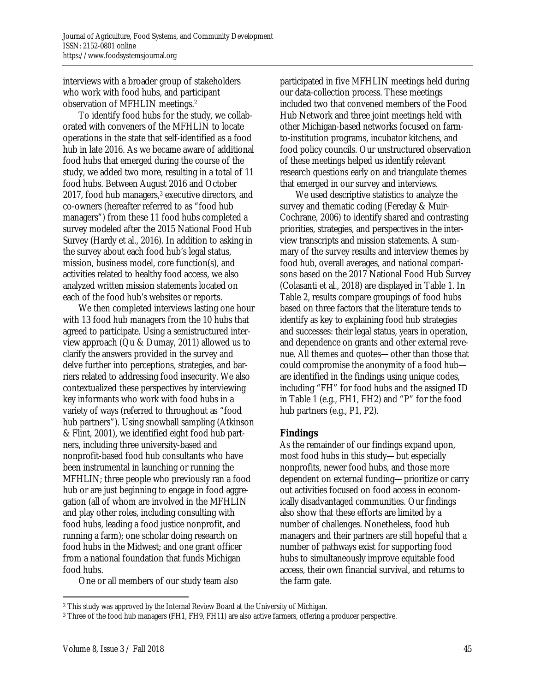interviews with a broader group of stakeholders who work with food hubs, and participant observation of MFHLIN meetings.2

 To identify food hubs for the study, we collaborated with conveners of the MFHLIN to locate operations in the state that self-identified as a food hub in late 2016. As we became aware of additional food hubs that emerged during the course of the study, we added two more, resulting in a total of 11 food hubs. Between August 2016 and October 2017, food hub managers,<sup>3</sup> executive directors, and co-owners (hereafter referred to as "food hub managers") from these 11 food hubs completed a survey modeled after the 2015 National Food Hub Survey (Hardy et al., 2016). In addition to asking in the survey about each food hub's legal status, mission, business model, core function(s), and activities related to healthy food access, we also analyzed written mission statements located on each of the food hub's websites or reports.

 We then completed interviews lasting one hour with 13 food hub managers from the 10 hubs that agreed to participate. Using a semistructured interview approach (Qu & Dumay, 2011) allowed us to clarify the answers provided in the survey and delve further into perceptions, strategies, and barriers related to addressing food insecurity. We also contextualized these perspectives by interviewing key informants who work with food hubs in a variety of ways (referred to throughout as "food hub partners"). Using snowball sampling (Atkinson & Flint, 2001), we identified eight food hub partners, including three university-based and nonprofit-based food hub consultants who have been instrumental in launching or running the MFHLIN; three people who previously ran a food hub or are just beginning to engage in food aggregation (all of whom are involved in the MFHLIN and play other roles, including consulting with food hubs, leading a food justice nonprofit, and running a farm); one scholar doing research on food hubs in the Midwest; and one grant officer from a national foundation that funds Michigan food hubs.

participated in five MFHLIN meetings held during our data-collection process. These meetings included two that convened members of the Food Hub Network and three joint meetings held with other Michigan-based networks focused on farmto-institution programs, incubator kitchens, and food policy councils. Our unstructured observation of these meetings helped us identify relevant research questions early on and triangulate themes that emerged in our survey and interviews.

 We used descriptive statistics to analyze the survey and thematic coding (Fereday & Muir-Cochrane, 2006) to identify shared and contrasting priorities, strategies, and perspectives in the interview transcripts and mission statements. A summary of the survey results and interview themes by food hub, overall averages, and national comparisons based on the 2017 National Food Hub Survey (Colasanti et al., 2018) are displayed in Table 1. In Table 2, results compare groupings of food hubs based on three factors that the literature tends to identify as key to explaining food hub strategies and successes: their legal status, years in operation, and dependence on grants and other external revenue. All themes and quotes—other than those that could compromise the anonymity of a food hub are identified in the findings using unique codes, including "FH" for food hubs and the assigned ID in Table 1 (e.g., FH1, FH2) and "P" for the food hub partners (e.g., P1, P2).

# **Findings**

As the remainder of our findings expand upon, most food hubs in this study—but especially nonprofits, newer food hubs, and those more dependent on external funding—prioritize or carry out activities focused on food access in economically disadvantaged communities. Our findings also show that these efforts are limited by a number of challenges. Nonetheless, food hub managers and their partners are still hopeful that a number of pathways exist for supporting food hubs to simultaneously improve equitable food access, their own financial survival, and returns to the farm gate.

One or all members of our study team also

 $\overline{a}$ 2 This study was approved by the Internal Review Board at the University of Michigan.

<sup>3</sup> Three of the food hub managers (FH1, FH9, FH11) are also active farmers, offering a producer perspective.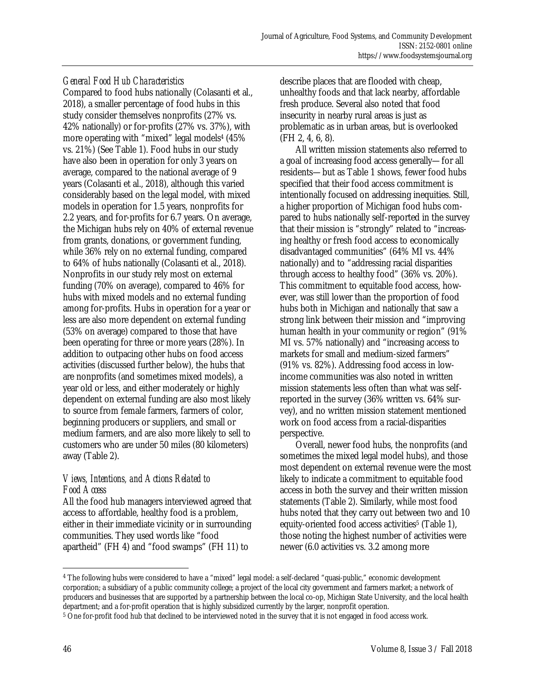# *General Food Hub Characteristics*

Compared to food hubs nationally (Colasanti et al., 2018), a smaller percentage of food hubs in this study consider themselves nonprofits (27% vs. 42% nationally) or for-profits (27% vs. 37%), with more operating with "mixed" legal models4 (45% vs. 21%) (See Table 1). Food hubs in our study have also been in operation for only 3 years on average, compared to the national average of 9 years (Colasanti et al., 2018), although this varied considerably based on the legal model, with mixed models in operation for 1.5 years, nonprofits for 2.2 years, and for-profits for 6.7 years. On average, the Michigan hubs rely on 40% of external revenue from grants, donations, or government funding, while 36% rely on no external funding, compared to 64% of hubs nationally (Colasanti et al., 2018). Nonprofits in our study rely most on external funding (70% on average), compared to 46% for hubs with mixed models and no external funding among for-profits. Hubs in operation for a year or less are also more dependent on external funding (53% on average) compared to those that have been operating for three or more years (28%). In addition to outpacing other hubs on food access activities (discussed further below), the hubs that are nonprofits (and sometimes mixed models), a year old or less, and either moderately or highly dependent on external funding are also most likely to source from female farmers, farmers of color, beginning producers or suppliers, and small or medium farmers, and are also more likely to sell to customers who are under 50 miles (80 kilometers) away (Table 2).

# *Views, Intentions, and Actions Related to Food Access*

All the food hub managers interviewed agreed that access to affordable, healthy food is a problem, either in their immediate vicinity or in surrounding communities. They used words like "food apartheid" (FH 4) and "food swamps" (FH 11) to

describe places that are flooded with cheap, unhealthy foods and that lack nearby, affordable fresh produce. Several also noted that food insecurity in nearby rural areas is just as problematic as in urban areas, but is overlooked (FH 2, 4, 6, 8).

 All written mission statements also referred to a goal of increasing food access generally—for all residents—but as Table 1 shows, fewer food hubs specified that their food access commitment is intentionally focused on addressing inequities. Still, a higher proportion of Michigan food hubs compared to hubs nationally self-reported in the survey that their mission is "strongly" related to "increasing healthy or fresh food access to economically disadvantaged communities" (64% MI vs. 44% nationally) and to "addressing racial disparities through access to healthy food" (36% vs. 20%). This commitment to equitable food access, however, was still lower than the proportion of food hubs both in Michigan and nationally that saw a strong link between their mission and "improving human health in your community or region" (91% MI vs. 57% nationally) and "increasing access to markets for small and medium-sized farmers" (91% vs. 82%). Addressing food access in lowincome communities was also noted in written mission statements less often than what was selfreported in the survey (36% written vs. 64% survey), and no written mission statement mentioned work on food access from a racial-disparities perspective.

 Overall, newer food hubs, the nonprofits (and sometimes the mixed legal model hubs), and those most dependent on external revenue were the most likely to indicate a commitment to equitable food access in both the survey and their written mission statements (Table 2). Similarly, while most food hubs noted that they carry out between two and 10 equity-oriented food access activities<sup>5</sup> (Table 1), those noting the highest number of activities were newer (6.0 activities vs. 3.2 among more

<sup>4</sup> The following hubs were considered to have a "mixed" legal model: a self-declared "quasi-public," economic development corporation; a subsidiary of a public community college; a project of the local city government and farmers market; a network of producers and businesses that are supported by a partnership between the local co-op, Michigan State University, and the local health department; and a for-profit operation that is highly subsidized currently by the larger, nonprofit operation.

<sup>5</sup> One for-profit food hub that declined to be interviewed noted in the survey that it is not engaged in food access work.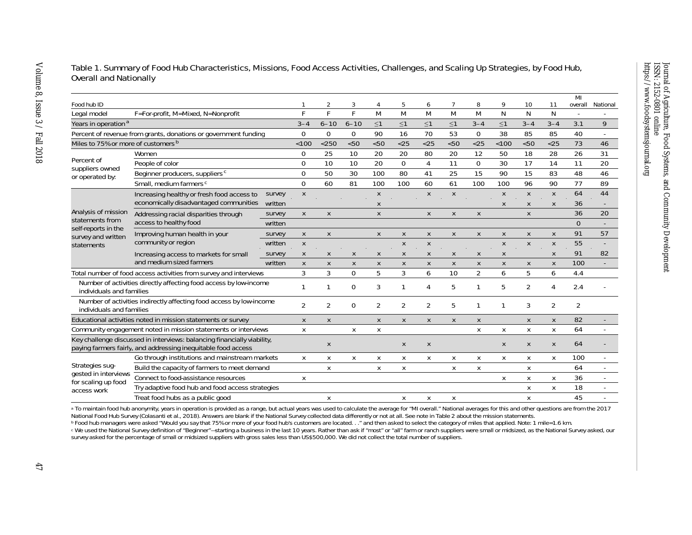|                                                                                                                                          |                                                                           |                |                |                |                |                |                |              |                |              |              |                    |                | MI             |                     |
|------------------------------------------------------------------------------------------------------------------------------------------|---------------------------------------------------------------------------|----------------|----------------|----------------|----------------|----------------|----------------|--------------|----------------|--------------|--------------|--------------------|----------------|----------------|---------------------|
| Food hub ID                                                                                                                              |                                                                           |                |                | $\overline{2}$ | 3              | $\overline{4}$ | 5              | 6            | $\overline{7}$ | 8            | 9            | 10                 | 11             | overall        | National            |
| Legal model                                                                                                                              | F=For-profit, M=Mixed, N=Nonprofit                                        |                | Е              | F              | F              | M              | M              | M            | M              | M            | N            | N                  | N              |                |                     |
| Years in operation <sup>a</sup>                                                                                                          |                                                                           | $3 - 4$        | $6 - 10$       | $6 - 10$       | $\leq$ 1       | $\leq$ 1       | $\leq$ 1       | $\leq$ 1     | $3 - 4$        | $\leq 1$     | $3 - 4$      | $3 - 4$            | 3.1            | 9              |                     |
| Percent of revenue from grants, donations or government funding                                                                          |                                                                           |                | $\Omega$       | $\mathbf 0$    | $\overline{0}$ | 90             | 16             | 70           | 53             | $\mathbf 0$  | 38           | 85                 | 85             | 40             |                     |
| Miles to 75% or more of customers <sup>b</sup>                                                                                           |                                                                           | < 100          | $<$ 250        | < 50           | < 50           | < 25           | < 25           | < 50         | < 25           | < 100        | < 50         | < 25               | 73             | 46             |                     |
| Percent of                                                                                                                               | Women                                                                     |                | $\mathbf 0$    | 25             | 10             | 20             | 20             | 80           | 20             | 12           | 50           | 18                 | 28             | 26             | 31                  |
| suppliers owned                                                                                                                          | People of color                                                           |                | $\mathbf 0$    | 10             | 10             | 20             | $\overline{0}$ | 4            | 11             | $\mathbf 0$  | 30           | 17                 | 14             | 11             | 20                  |
| or operated by:                                                                                                                          | Beginner producers, suppliers <sup>c</sup>                                |                | $\mathbf 0$    | 50             | 30             | 100            | 80             | 41           | 25             | 15           | 90           | 15                 | 83             | 48             | 46                  |
|                                                                                                                                          | Small, medium farmers <sup>c</sup>                                        |                | $\Omega$       | 60             | 81             | 100            | 100            | 60           | 61             | 100          | 100          | 96                 | 90             | 77             | 89                  |
|                                                                                                                                          | Increasing healthy or fresh food access to                                | survey         | $\pmb{\chi}$   |                |                | $\pmb{\chi}$   |                | $\mathsf{X}$ | X              |              | X            | X                  | X              | 64             | 44                  |
|                                                                                                                                          | economically disadvantaged communities written                            |                |                |                |                | $\mathsf{X}$   |                |              |                |              | $\mathsf{X}$ | $\pmb{\chi}$       | X              | 36             |                     |
| Analysis of mission                                                                                                                      | Addressing racial disparities through<br>access to healthy food           | survey         | $\pmb{\chi}$   | $\pmb{\chi}$   |                | $\pmb{\chi}$   |                | X            | X              | X            |              | $\pmb{\chi}$       |                | 36             | 20                  |
| statements from<br>self-reports in the                                                                                                   |                                                                           | written        |                |                |                |                |                |              |                |              |              |                    |                | $\overline{O}$ |                     |
| survey and written                                                                                                                       | Improving human health in your<br>community or region                     | survey         | X              | $\pmb{\chi}$   |                | X              | X              | X            | X              | $\chi$       | X            | $\pmb{\chi}$       | $\pmb{\chi}$   | 91             | 57                  |
| statements                                                                                                                               |                                                                           | written        | $\pmb{\chi}$   |                |                |                | X              | X            |                |              | X            | $\pmb{\chi}$       | X              | 55             |                     |
|                                                                                                                                          | Increasing access to <i>markets</i> for small<br>and medium sized farmers | survey         | $\pmb{\chi}$   | X              | X              | $\mathsf{X}$   | $\pmb{\chi}$   | $\mathsf X$  | X              | $\pmb{\chi}$ | $\pmb{\chi}$ |                    | X              | 91             | 82                  |
|                                                                                                                                          |                                                                           | written        | $\pmb{\chi}$   | X              | X              | X              | X              | X            | X              | X            | X            | X                  | $\pmb{\chi}$   | 100            |                     |
| Total number of food access activities from survey and interviews                                                                        |                                                                           | 3              | 3              | $\Omega$       | 5              | 3              | 6              | 10           | 2              | 6            | 5            | 6                  | 4.4            |                |                     |
| Number of activities directly affecting food access by low-income<br>individuals and families                                            |                                                                           | $\mathbf{1}$   | 1              | $\overline{0}$ | 3              |                | $\overline{4}$ | 5            | $\mathbf{1}$   | 5            | 2            | 4                  | 2.4            |                |                     |
| Number of activities indirectly affecting food access by low-income<br>individuals and families                                          |                                                                           | $\overline{2}$ | $\overline{2}$ | $\mathbf{O}$   | 2              | 2              | $\overline{2}$ | 5            |                |              | 3            | 2                  | $\overline{2}$ |                |                     |
|                                                                                                                                          | Educational activities noted in mission statements or survey              |                | $\mathsf{X}$   | $\pmb{\chi}$   |                | X              | $\pmb{\chi}$   | X            | X              | $\mathsf X$  |              | $\pmb{\mathsf{X}}$ | $\pmb{\chi}$   | 82             |                     |
| Community engagement noted in mission statements or interviews                                                                           |                                                                           | $\mathsf{X}$   |                | X              | $\mathsf{X}$   |                |                |              | $\mathsf{X}$   | $\mathsf{X}$ | X            | X                  | 64             |                |                     |
| Key challenge discussed in interviews: balancing financially viability,<br>paying farmers fairly, and addressing inequitable food access |                                                                           |                | $\pmb{\chi}$   |                |                | $\pmb{\chi}$   | X              |              |                | $\mathsf{X}$ | $\pmb{\chi}$ | X                  | 64             |                |                     |
| Strategies sug-<br>gested in interviews<br>for scaling up food<br>access work                                                            | Go through institutions and mainstream markets                            |                | X              | X              | Х              | X              | Х              | X            | X              | X            | X            | X                  | Χ              | 100            |                     |
|                                                                                                                                          | Build the capacity of farmers to meet demand                              |                |                | X              |                | X              | X              |              | X              | X            |              | X                  |                | 64             |                     |
|                                                                                                                                          | Connect to food-assistance resources                                      |                | X              |                |                |                |                |              |                |              | X            | X                  | X              | 36             |                     |
|                                                                                                                                          | Try adaptive food hub and food access strategies                          |                |                |                |                |                |                |              |                |              |              | Χ                  | X              | 18             | $\omega_{\rm{eff}}$ |
|                                                                                                                                          | Treat food hubs as a public good                                          |                |                | X              |                |                | X              | X            | X              |              |              | X                  |                | 45             |                     |

#### Table 1. Summary of Food Hub Characteristics, Missions, Food Access Activities, Challenges, and Scaling Up Strategies, by Food Hub, Overall and Nationally

a To maintain food hub anonymity, years in operation is provided as a range, but actual years was used to calculate the average for "MI overall." National averages for this and other questions are from the 2017 National Food Hub Survey (Colasanti et al., 2018). Answers are blank if the National Survey collected data differently or not at all. See note in Table 2 about the mission statements.

b Food hub managers were asked "Would you say that 75% or more of your food hub's customers are located. . ." and then asked to select the category of miles that applied. Note: 1 mile=1.6 km. c We used the National Survey definition of "Beginner"—starting a business in the last 10 years. Rather than ask if "most" or "all" farm or ranch suppliers were small or midsized, as the National Survey asked, our survey asked for the *percentage* of small or midsized suppliers with gross sales less than US\$500,000. We did not collect the total number of suppliers.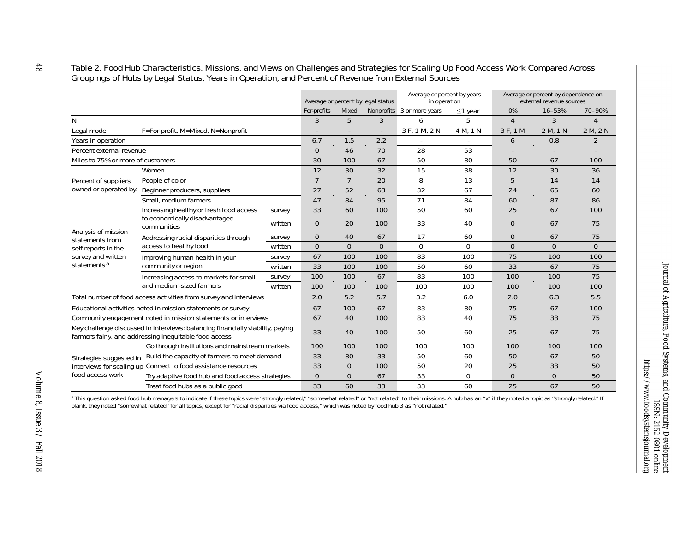#### Table 2. Food Hub Characteristics, Missions, and Views on Challenges and Strategies for Scaling Up Food Access Work Compared Across Groupings of Hubs by Legal Status, Years in Operation, and Percent of Revenue from External Sources

|                                                                                                                                          |                                                                                         |         | Average or percent by legal status |                |          | Average or percent by years<br>in operation |               | Average or percent by dependence on<br>external revenue sources |                |          |  |
|------------------------------------------------------------------------------------------------------------------------------------------|-----------------------------------------------------------------------------------------|---------|------------------------------------|----------------|----------|---------------------------------------------|---------------|-----------------------------------------------------------------|----------------|----------|--|
|                                                                                                                                          |                                                                                         |         | For-profits                        | Mixed          |          | Nonprofits 3 or more years                  | $\leq$ 1 year | 0%                                                              | 16-53%         | 70-90%   |  |
| N                                                                                                                                        |                                                                                         |         | 3                                  | 5              | 3        | 6                                           | 5             | $\overline{4}$                                                  | 3              | 4        |  |
| Legal model                                                                                                                              | F=For-profit, M=Mixed, N=Nonprofit                                                      |         |                                    |                |          | 3 F, 1 M, 2 N                               | 4 M, 1 N      | 3 F, 1 M                                                        | 2 M, 1 N       | 2 M, 2 N |  |
| Years in operation                                                                                                                       |                                                                                         |         | 6.7                                | 1.5            | 2.2      |                                             |               | 6                                                               | 0.8            | 2        |  |
| Percent external revenue                                                                                                                 |                                                                                         |         | $\overline{O}$                     | 46             | 70       | 28                                          | 53            |                                                                 |                |          |  |
| Miles to 75% or more of customers                                                                                                        |                                                                                         |         | 30                                 | 100            | 67       | 50                                          | 80            | 50                                                              | 67             | 100      |  |
| Percent of suppliers<br>owned or operated by:                                                                                            | Women                                                                                   |         | 12                                 | 30             | 32       | 15                                          | 38            | 12                                                              | 30             | 36       |  |
|                                                                                                                                          | People of color                                                                         |         | $\overline{7}$                     | $\overline{7}$ | 20       | 8                                           | 13            | 5                                                               | 14             | 14       |  |
|                                                                                                                                          | Beginner producers, suppliers                                                           |         | 27                                 | 52             | 63       | 32                                          | 67            | 24                                                              | 65             | 60       |  |
|                                                                                                                                          | Small, medium farmers                                                                   |         | 47                                 | 84             | 95       | 71                                          | 84            | 60                                                              | 87             | 86       |  |
| Analysis of mission<br>statements from<br>self-reports in the<br>survey and written<br>statements <sup>a</sup>                           | Increasing healthy or fresh food access<br>to economically disadvantaged<br>communities | survey  | 33                                 | 60             | 100      | 50                                          | 60            | 25                                                              | 67             | 100      |  |
|                                                                                                                                          |                                                                                         | written | $\overline{O}$                     | 20             | 100      | 33                                          | 40            | $\overline{0}$                                                  | 67             | 75       |  |
|                                                                                                                                          | Addressing racial disparities through<br>access to healthy food                         | survey  | $\overline{O}$                     | 40             | 67       | 17                                          | 60            | $\overline{O}$                                                  | 67             | 75       |  |
|                                                                                                                                          |                                                                                         | written | $\Omega$                           | $\overline{O}$ | $\Omega$ | $\mathbf{0}$                                | $\Omega$      | $\Omega$                                                        | $\Omega$       | $\Omega$ |  |
|                                                                                                                                          | Improving human health in your<br>community or region                                   | survey  | 67                                 | 100            | 100      | 83                                          | 100           | 75                                                              | 100            | 100      |  |
|                                                                                                                                          |                                                                                         | written | 33                                 | 100            | 100      | 50                                          | 60            | 33                                                              | 67             | 75       |  |
|                                                                                                                                          | Increasing access to markets for small<br>and medium-sized farmers                      | survey  | 100                                | 100            | 67       | 83                                          | 100           | 100                                                             | 100            | 75       |  |
|                                                                                                                                          |                                                                                         | written | 100                                | 100            | 100      | 100                                         | 100           | 100                                                             | 100            | 100      |  |
| Total number of food access activities from survey and interviews                                                                        |                                                                                         |         | 2.0                                | 5.2            | 5.7      | 3.2                                         | 6.0           | 2.0                                                             | 6.3            | 5.5      |  |
| Educational activities noted in mission statements or survey                                                                             |                                                                                         |         | 67                                 | 100            | 67       | 83                                          | 80            | 75                                                              | 67             | 100      |  |
| Community engagement noted in mission statements or interviews                                                                           |                                                                                         |         | 67                                 | 40             | 100      | 83                                          | 40            | 75                                                              | 33             | 75       |  |
| Key challenge discussed in interviews: balancing financially viability, paying<br>farmers fairly, and addressing inequitable food access |                                                                                         |         | 33                                 | 40             | 100      | 50                                          | 60            | 25                                                              | 67             | 75       |  |
|                                                                                                                                          | Go through institutions and mainstream markets                                          |         | 100                                | 100            | 100      | 100                                         | 100           | 100                                                             | 100            | 100      |  |
| Strategies suggested in<br>interviews for scaling up<br>food access work                                                                 | Build the capacity of farmers to meet demand                                            |         | 33                                 | 80             | 33       | 50                                          | 60            | 50                                                              | 67             | 50       |  |
|                                                                                                                                          | Connect to food assistance resources                                                    |         | 33                                 | $\overline{0}$ | 100      | 50                                          | 20            | 25                                                              | 33             | 50       |  |
|                                                                                                                                          | Try adaptive food hub and food access strategies                                        |         | $\overline{O}$                     | $\overline{O}$ | 67       | 33                                          | $\mathbf 0$   | $\overline{O}$                                                  | $\overline{O}$ | 50       |  |
|                                                                                                                                          | Treat food hubs as a public good                                                        |         | 33                                 | 60             | 33       | 33                                          | 60            | 25                                                              | 67             | 50       |  |

a This question asked food hub managers to indicate if these topics were "strongly related," "somewhat related" or "not related" to their missions. A hub has an "x" if they noted a topic as "strongly related." If blank, they noted "somewhat related" for all topics, except for "racial disparities via food access," which was noted by food hub 3 as "not related."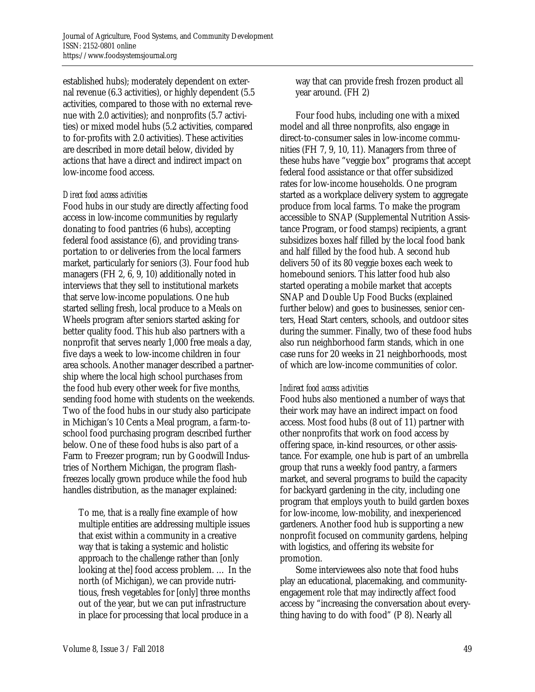established hubs); moderately dependent on external revenue (6.3 activities), or highly dependent (5.5 activities, compared to those with no external revenue with 2.0 activities); and nonprofits (5.7 activities) or mixed model hubs (5.2 activities, compared to for-profits with 2.0 activities). These activities are described in more detail below, divided by actions that have a direct and indirect impact on low-income food access.

### *Direct food access activities*

Food hubs in our study are directly affecting food access in low-income communities by regularly donating to food pantries (6 hubs), accepting federal food assistance (6), and providing transportation to or deliveries from the local farmers market, particularly for seniors (3). Four food hub managers (FH 2, 6, 9, 10) additionally noted in interviews that they sell to institutional markets that serve low-income populations. One hub started selling fresh, local produce to a Meals on Wheels program after seniors started asking for better quality food. This hub also partners with a nonprofit that serves nearly 1,000 free meals a day, five days a week to low-income children in four area schools. Another manager described a partnership where the local high school purchases from the food hub every other week for five months, sending food home with students on the weekends. Two of the food hubs in our study also participate in Michigan's 10 Cents a Meal program, a farm-toschool food purchasing program described further below. One of these food hubs is also part of a Farm to Freezer program; run by Goodwill Industries of Northern Michigan, the program flashfreezes locally grown produce while the food hub handles distribution, as the manager explained:

To me, that is a really fine example of how multiple entities are addressing multiple issues that exist within a community in a creative way that is taking a systemic and holistic approach to the challenge rather than [only looking at the] food access problem. … In the north (of Michigan), we can provide nutritious, fresh vegetables for [only] three months out of the year, but we can put infrastructure in place for processing that local produce in a

way that can provide fresh frozen product all year around. (FH 2)

 Four food hubs, including one with a mixed model and all three nonprofits, also engage in direct-to-consumer sales in low-income communities (FH 7, 9, 10, 11). Managers from three of these hubs have "veggie box" programs that accept federal food assistance or that offer subsidized rates for low-income households. One program started as a workplace delivery system to aggregate produce from local farms. To make the program accessible to SNAP (Supplemental Nutrition Assistance Program, or food stamps) recipients, a grant subsidizes boxes half filled by the local food bank and half filled by the food hub. A second hub delivers 50 of its 80 veggie boxes each week to homebound seniors. This latter food hub also started operating a mobile market that accepts SNAP and Double Up Food Bucks (explained further below) and goes to businesses, senior centers, Head Start centers, schools, and outdoor sites during the summer. Finally, two of these food hubs also run neighborhood farm stands, which in one case runs for 20 weeks in 21 neighborhoods, most of which are low-income communities of color.

# *Indirect food access activities*

Food hubs also mentioned a number of ways that their work may have an indirect impact on food access. Most food hubs (8 out of 11) partner with other nonprofits that work on food access by offering space, in-kind resources, or other assistance. For example, one hub is part of an umbrella group that runs a weekly food pantry, a farmers market, and several programs to build the capacity for backyard gardening in the city, including one program that employs youth to build garden boxes for low-income, low-mobility, and inexperienced gardeners. Another food hub is supporting a new nonprofit focused on community gardens, helping with logistics, and offering its website for promotion.

 Some interviewees also note that food hubs play an educational, placemaking, and communityengagement role that may indirectly affect food access by "increasing the conversation about everything having to do with food" (P 8). Nearly all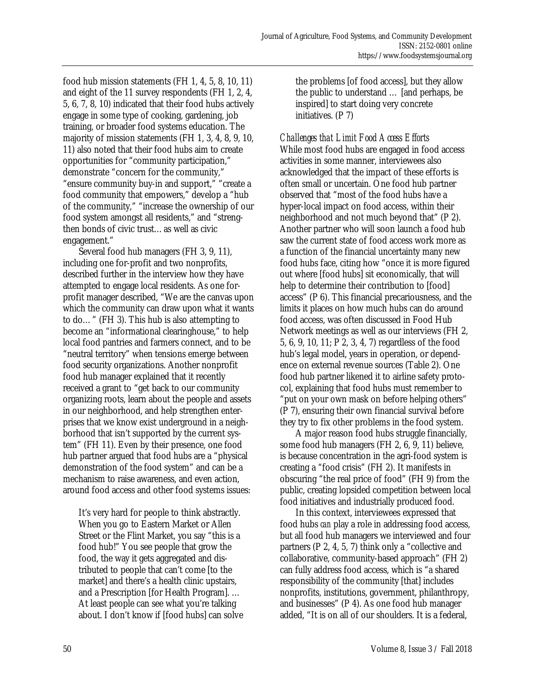food hub mission statements (FH 1, 4, 5, 8, 10, 11) and eight of the 11 survey respondents (FH 1, 2, 4, 5, 6, 7, 8, 10) indicated that their food hubs actively engage in some type of cooking, gardening, job training, or broader food systems education. The majority of mission statements (FH 1, 3, 4, 8, 9, 10, 11) also noted that their food hubs aim to create opportunities for "community participation," demonstrate "concern for the community," "ensure community buy-in and support," "create a food community that empowers," develop a "hub of the community," "increase the ownership of our food system amongst all residents," and "strengthen bonds of civic trust…as well as civic engagement."

 Several food hub managers (FH 3, 9, 11), including one for-profit and two nonprofits, described further in the interview how they have attempted to engage local residents. As one forprofit manager described, "We are the canvas upon which the community can draw upon what it wants to do…" (FH 3). This hub is also attempting to become an "informational clearinghouse," to help local food pantries and farmers connect, and to be "neutral territory" when tensions emerge between food security organizations. Another nonprofit food hub manager explained that it recently received a grant to "get back to our community organizing roots, learn about the people and assets in our neighborhood, and help strengthen enterprises that we know exist underground in a neighborhood that isn't supported by the current system" (FH 11). Even by their presence, one food hub partner argued that food hubs are a "physical demonstration of the food system" and can be a mechanism to raise awareness, and even action, around food access and other food systems issues:

It's very hard for people to think abstractly. When you go to Eastern Market or Allen Street or the Flint Market, you say "this is a food hub!" You see people that grow the food, the way it gets aggregated and distributed to people that can't come [to the market] and there's a health clinic upstairs, and a Prescription [for Health Program]. … At least people can see what you're talking about. I don't know if [food hubs] can solve the problems [of food access], but they allow the public to understand … [and perhaps, be inspired] to start doing very concrete initiatives. (P 7)

*Challenges that Limit Food Access Efforts*  While most food hubs are engaged in food access activities in some manner, interviewees also acknowledged that the impact of these efforts is often small or uncertain. One food hub partner observed that "most of the food hubs have a hyper-local impact on food access, within their neighborhood and not much beyond that" (P 2). Another partner who will soon launch a food hub saw the current state of food access work more as a function of the financial uncertainty many new food hubs face, citing how "once it is more figured out where [food hubs] sit economically, that will help to determine their contribution to [food] access" (P 6). This financial precariousness, and the limits it places on how much hubs can do around food access, was often discussed in Food Hub Network meetings as well as our interviews (FH 2, 5, 6, 9, 10, 11; P 2, 3, 4, 7) regardless of the food hub's legal model, years in operation, or dependence on external revenue sources (Table 2). One food hub partner likened it to airline safety protocol, explaining that food hubs must remember to "put on your own mask on before helping others" (P 7), ensuring their own financial survival before they try to fix other problems in the food system.

 A major reason food hubs struggle financially, some food hub managers (FH 2, 6, 9, 11) believe, is because concentration in the agri-food system is creating a "food crisis" (FH 2). It manifests in obscuring "the real price of food" (FH 9) from the public, creating lopsided competition between local food initiatives and industrially produced food.

 In this context, interviewees expressed that food hubs *can* play a role in addressing food access, but all food hub managers we interviewed and four partners (P 2, 4, 5, 7) think only a "collective and collaborative, community-based approach" (FH 2) can fully address food access, which is "a shared responsibility of the community [that] includes nonprofits, institutions, government, philanthropy, and businesses" (P 4). As one food hub manager added, "It is on all of our shoulders. It is a federal,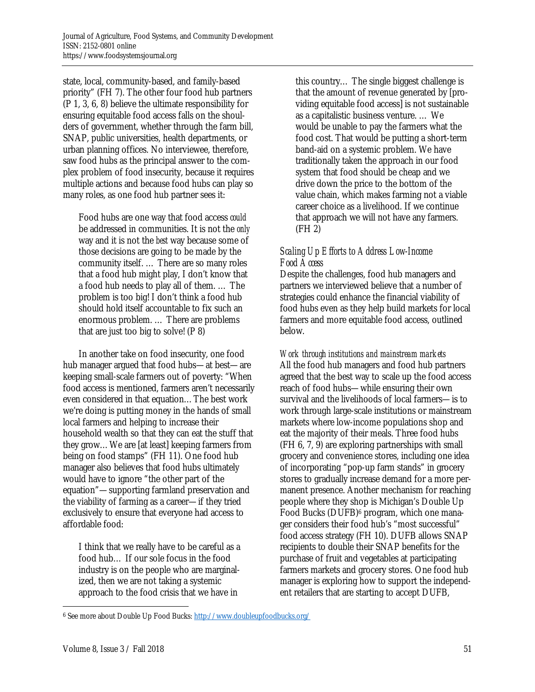state, local, community-based, and family-based priority" (FH 7). The other four food hub partners (P 1, 3, 6, 8) believe the ultimate responsibility for ensuring equitable food access falls on the shoulders of government, whether through the farm bill, SNAP, public universities, health departments, or urban planning offices. No interviewee, therefore, saw food hubs as the principal answer to the complex problem of food insecurity, because it requires multiple actions and because food hubs can play so many roles, as one food hub partner sees it:

Food hubs are one way that food access *could* be addressed in communities. It is not the *only* way and it is not the *best* way because some of those decisions are going to be made by the community itself. … There are so many roles that a food hub might play, I don't know that a food hub needs to play all of them. … The problem is too big! I don't think a food hub should hold itself accountable to fix such an enormous problem. … There are problems that are just too big to solve! (P 8)

 In another take on food insecurity, one food hub manager argued that food hubs—at best—are keeping small-scale farmers out of poverty: "When food access is mentioned, farmers aren't necessarily even considered in that equation…The best work we're doing is putting money in the hands of small local farmers and helping to increase their household wealth so that they can eat the stuff that they grow…We are [at least] keeping farmers from being on food stamps" (FH 11). One food hub manager also believes that food hubs ultimately would have to ignore "the other part of the equation"—supporting farmland preservation and the viability of farming as a career—if they tried exclusively to ensure that everyone had access to affordable food:

I think that we really have to be careful as a food hub… If our sole focus in the food industry is on the people who are marginalized, then we are not taking a systemic approach to the food crisis that we have in

this country… The single biggest challenge is that the amount of revenue generated by [providing equitable food access] is not sustainable as a capitalistic business venture. … We would be unable to pay the farmers what the food cost. That would be putting a short-term band-aid on a systemic problem. We have traditionally taken the approach in our food system that food should be cheap and we drive down the price to the bottom of the value chain, which makes farming not a viable career choice as a livelihood. If we continue that approach we will not have any farmers. (FH 2)

# *Scaling Up Efforts to Address Low-Income Food Access*

Despite the challenges, food hub managers and partners we interviewed believe that a number of strategies could enhance the financial viability of food hubs even as they help build markets for local farmers and more equitable food access, outlined below.

*Work through institutions and mainstream markets*  All the food hub managers and food hub partners agreed that the best way to scale up the food access reach of food hubs—while ensuring their own survival and the livelihoods of local farmers—is to work through large-scale institutions or mainstream markets where low-income populations shop and eat the majority of their meals. Three food hubs (FH 6, 7, 9) are exploring partnerships with small grocery and convenience stores, including one idea of incorporating "pop-up farm stands" in grocery stores to gradually increase demand for a more permanent presence. Another mechanism for reaching people where they shop is Michigan's Double Up Food Bucks (DUFB)<sup>6</sup> program, which one manager considers their food hub's "most successful" food access strategy (FH 10). DUFB allows SNAP recipients to double their SNAP benefits for the purchase of fruit and vegetables at participating farmers markets and grocery stores. One food hub manager is exploring how to support the independent retailers that are starting to accept DUFB,

 $\overline{a}$ 6 See more about Double Up Food Bucks: http://www.doubleupfoodbucks.org/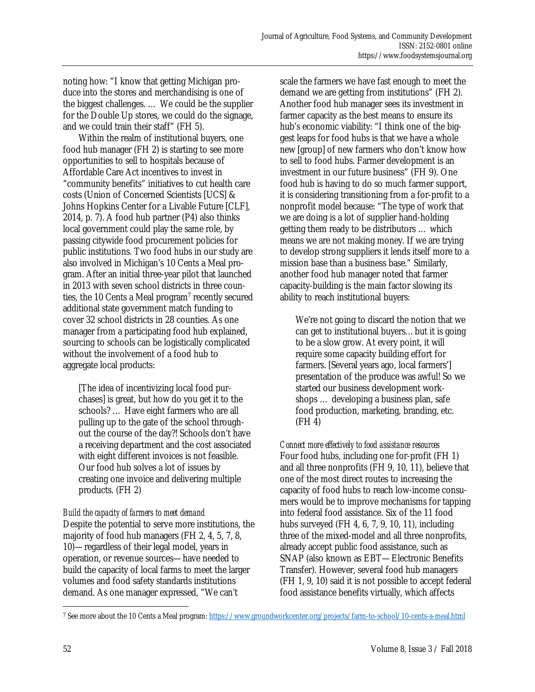noting how: "I know that getting Michigan produce into the stores and merchandising is one of the biggest challenges. … We could be the supplier for the Double Up stores, we could do the signage, and we could train their staff" (FH 5).

 Within the realm of institutional buyers, one food hub manager (FH 2) is starting to see more opportunities to sell to hospitals because of Affordable Care Act incentives to invest in "community benefits" initiatives to cut health care costs (Union of Concerned Scientists [UCS] & Johns Hopkins Center for a Livable Future [CLF], 2014, p. 7). A food hub partner (P4) also thinks local government could play the same role, by passing citywide food procurement policies for public institutions. Two food hubs in our study are also involved in Michigan's 10 Cents a Meal program. After an initial three-year pilot that launched in 2013 with seven school districts in three counties, the 10 Cents a Meal program<sup>7</sup> recently secured additional state government match funding to cover 32 school districts in 28 counties. As one manager from a participating food hub explained, sourcing to schools can be logistically complicated without the involvement of a food hub to aggregate local products:

[The idea of incentivizing local food purchases] is great, but how do you get it to the schools? … Have eight farmers who are all pulling up to the gate of the school throughout the course of the day?! Schools don't have a receiving department and the cost associated with eight different invoices is not feasible. Our food hub solves a lot of issues by creating one invoice and delivering multiple products. (FH 2)

# *Build the capacity of farmers to meet demand*

Despite the potential to serve more institutions, the majority of food hub managers (FH 2, 4, 5, 7, 8, 10)—regardless of their legal model, years in operation, or revenue sources—have needed to build the capacity of local farms to meet the larger volumes and food safety standards institutions demand. As one manager expressed, "We can't

scale the farmers we have fast enough to meet the demand we are getting from institutions" (FH 2). Another food hub manager sees its investment in farmer capacity as the best means to ensure its hub's economic viability: "I think one of the biggest leaps for food hubs is that we have a whole new [group] of new farmers who don't know how to sell to food hubs. Farmer development is an investment in our future business" (FH 9). One food hub is having to do so much farmer support, it is considering transitioning from a for-profit to a nonprofit model because: "The type of work that we are doing is a lot of supplier hand-holding getting them ready to be distributors … which means we are not making money. If we are trying to develop strong suppliers it lends itself more to a mission base than a business base." Similarly, another food hub manager noted that farmer capacity-building is the main factor slowing its ability to reach institutional buyers:

We're not going to discard the notion that we can get to institutional buyers…but it is going to be a slow grow. At every point, it will require some capacity building effort for farmers. [Several years ago, local farmers'] presentation of the produce was awful! So we started our business development workshops … developing a business plan, safe food production, marketing, branding, etc. (FH 4)

*Connect more effectively to food assistance resources*  Four food hubs, including one for-profit (FH 1) and all three nonprofits (FH 9, 10, 11), believe that one of the most direct routes to increasing the capacity of food hubs to reach low-income consumers would be to improve mechanisms for tapping into federal food assistance. Six of the 11 food hubs surveyed (FH 4, 6, 7, 9, 10, 11), including three of the mixed-model and all three nonprofits, already accept public food assistance, such as SNAP (also known as EBT—Electronic Benefits Transfer). However, several food hub managers (FH 1, 9, 10) said it is not possible to accept federal food assistance benefits virtually, which affects

<sup>7</sup> See more about the 10 Cents a Meal program: https://www.groundworkcenter.org/projects/farm-to-school/10-cents-a-meal.html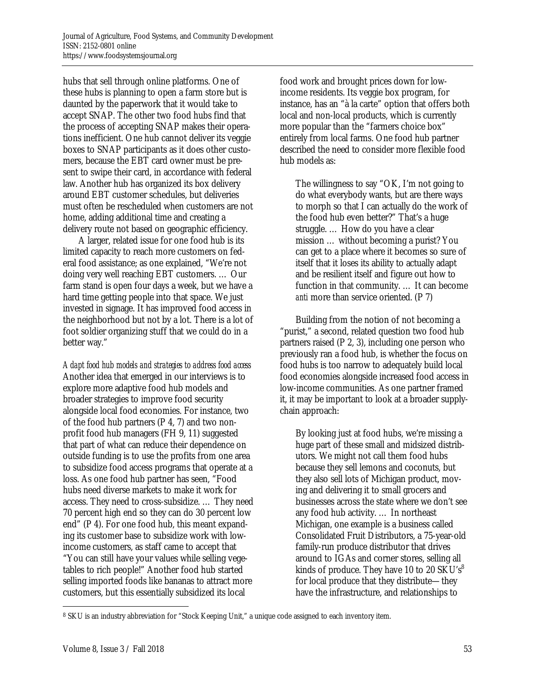hubs that sell through online platforms. One of these hubs is planning to open a farm store but is daunted by the paperwork that it would take to accept SNAP. The other two food hubs find that the process of accepting SNAP makes their operations inefficient. One hub cannot deliver its veggie boxes to SNAP participants as it does other customers, because the EBT card owner must be present to swipe their card, in accordance with federal law. Another hub has organized its box delivery around EBT customer schedules, but deliveries must often be rescheduled when customers are not home, adding additional time and creating a delivery route not based on geographic efficiency.

 A larger, related issue for one food hub is its limited capacity to reach more customers on federal food assistance; as one explained, "We're not doing very well reaching EBT customers. … Our farm stand is open four days a week, but we have a hard time getting people into that space. We just invested in signage. It has improved food access in the neighborhood but not by a lot. There is a lot of foot soldier organizing stuff that we could do in a better way."

*Adapt food hub models and strategies to address food access*  Another idea that emerged in our interviews is to explore more adaptive food hub models and broader strategies to improve food security alongside local food economies. For instance, two of the food hub partners (P 4, 7) and two nonprofit food hub managers (FH 9, 11) suggested that part of what can reduce their dependence on outside funding is to use the profits from one area to subsidize food access programs that operate at a loss. As one food hub partner has seen, "Food hubs need diverse markets to make it work for access. They need to cross-subsidize. … They need 70 percent high end so they can do 30 percent low end" (P 4). For one food hub, this meant expanding its customer base to subsidize work with lowincome customers, as staff came to accept that "You can still have your values while selling vegetables to rich people!" Another food hub started selling imported foods like bananas to attract more customers, but this essentially subsidized its local

food work and brought prices down for lowincome residents. Its veggie box program, for instance, has an "à la carte" option that offers both local and non-local products, which is currently more popular than the "farmers choice box" entirely from local farms. One food hub partner described the need to consider more flexible food hub models as:

The willingness to say "OK, I'm not going to do what everybody wants, but are there ways to morph so that I can actually do the work of the food hub even better?" That's a huge struggle. … How do you have a clear mission … without becoming a purist? You can get to a place where it becomes so sure of itself that it loses its ability to actually adapt and be resilient itself and figure out how to function in that community. … It can become *anti* more than service oriented. (P 7)

 Building from the notion of not becoming a "purist," a second, related question two food hub partners raised (P 2, 3), including one person who previously ran a food hub, is whether the focus on food hubs is too narrow to adequately build local food economies alongside increased food access in low-income communities. As one partner framed it, it may be important to look at a broader supplychain approach:

By looking just at food hubs, we're missing a huge part of these small and midsized distributors. We might not call them food hubs because they sell lemons and coconuts, but they also sell lots of Michigan product, moving and delivering it to small grocers and businesses across the state where we don't see any food hub activity. … In northeast Michigan, one example is a business called Consolidated Fruit Distributors, a 75-year-old family-run produce distributor that drives around to IGAs and corner stores, selling all kinds of produce. They have 10 to 20  $SKU's<sup>8</sup>$ for local produce that they distribute—they have the infrastructure, and relationships to

<sup>8</sup> SKU is an industry abbreviation for "Stock Keeping Unit," a unique code assigned to each inventory item.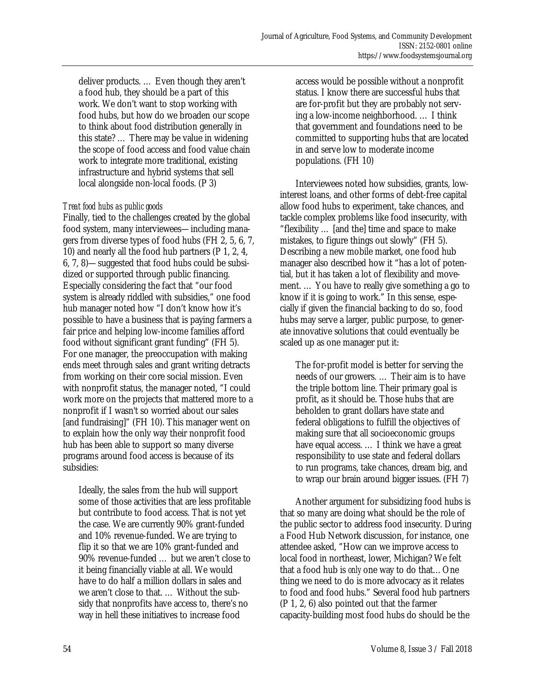deliver products. … Even though they aren't a food hub, they should be a part of this work. We don't want to stop working with food hubs, but how do we broaden our scope to think about food distribution generally in this state? … There may be value in widening the scope of food access and food value chain work to integrate more traditional, existing infrastructure and hybrid systems that sell local alongside non-local foods. (P 3)

# *Treat food hubs as public goods*

Finally, tied to the challenges created by the global food system, many interviewees—including managers from diverse types of food hubs (FH 2, 5, 6, 7, 10) and nearly all the food hub partners (P 1, 2, 4, 6, 7, 8)—suggested that food hubs could be subsidized or supported through public financing. Especially considering the fact that "our food system is already riddled with subsidies," one food hub manager noted how "I don't know how it's possible to have a business that is paying farmers a fair price and helping low-income families afford food without significant grant funding" (FH 5). For one manager, the preoccupation with making ends meet through sales and grant writing detracts from working on their core social mission. Even with nonprofit status, the manager noted, "I could work more on the projects that mattered more to a nonprofit if I wasn't so worried about our sales [and fundraising]" (FH 10). This manager went on to explain how the only way their nonprofit food hub has been able to support so many diverse programs around food access is because of its subsidies:

Ideally, the sales from the hub will support some of those activities that are less profitable but contribute to food access. That is not yet the case. We are currently 90% grant-funded and 10% revenue-funded. We are trying to flip it so that we are 10% grant-funded and 90% revenue-funded … but we aren't close to it being financially viable at all. We would have to do half a million dollars in sales and we aren't close to that. … Without the subsidy that nonprofits have access to, there's no way in hell these initiatives to increase food

access would be possible without a nonprofit status. I know there are successful hubs that are for-profit but they are probably not serving a low-income neighborhood. … I think that government and foundations need to be committed to supporting hubs that are located in and serve low to moderate income populations. (FH 10)

 Interviewees noted how subsidies, grants, lowinterest loans, and other forms of debt-free capital allow food hubs to experiment, take chances, and tackle complex problems like food insecurity, with "flexibility … [and the] time and space to make mistakes, to figure things out slowly" (FH 5). Describing a new mobile market, one food hub manager also described how it "has a lot of potential, but it has taken a lot of flexibility and movement. … You have to really give something a go to know if it is going to work." In this sense, especially if given the financial backing to do so, food hubs may serve a larger, public purpose, to generate innovative solutions that could eventually be scaled up as one manager put it:

The for-profit model is better for serving the needs of our growers. … Their aim is to have the triple bottom line. Their primary goal is profit, as it should be. Those hubs that are beholden to grant dollars have state and federal obligations to fulfill the objectives of making sure that all socioeconomic groups have equal access. … I think we have a great responsibility to use state and federal dollars to run programs, take chances, dream big, and to wrap our brain around bigger issues. (FH 7)

 Another argument for subsidizing food hubs is that so many are doing what should be the role of the public sector to address food insecurity. During a Food Hub Network discussion, for instance, one attendee asked, "How can we improve access to local food in northeast, lower, Michigan? We felt that a food hub is *only* one way to do that…One thing we need to do is more advocacy as it relates to food and food hubs." Several food hub partners (P 1, 2, 6) also pointed out that the farmer capacity-building most food hubs do should be the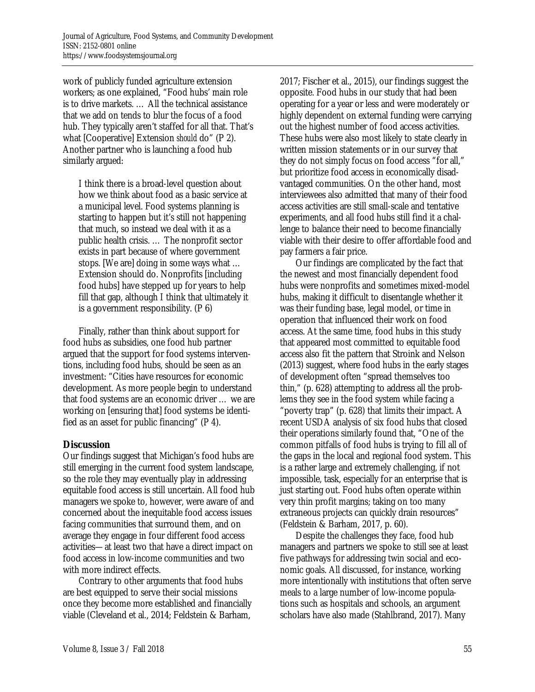work of publicly funded agriculture extension workers; as one explained, "Food hubs' main role is to drive markets. … All the technical assistance that we add on tends to blur the focus of a food hub. They typically aren't staffed for all that. That's what [Cooperative] Extension *should* do" (P 2). Another partner who is launching a food hub similarly argued:

I think there is a broad-level question about how we think about food as a basic service at a municipal level. Food systems planning is starting to happen but it's still not happening that much, so instead we deal with it as a public health crisis. … The nonprofit sector exists in part because of where government stops. [We are] doing in some ways what … Extension should do. Nonprofits [including food hubs] have stepped up for years to help fill that gap, although I think that ultimately it is a government responsibility. (P 6)

 Finally, rather than think about support for food hubs as subsidies, one food hub partner argued that the support for food systems interventions, including food hubs, should be seen as an investment: "Cities have resources for economic development. As more people begin to understand that food systems are an economic driver … we are working on [ensuring that] food systems be identified as an asset for public financing" (P 4).

# **Discussion**

Our findings suggest that Michigan's food hubs are still emerging in the current food system landscape, so the role they may eventually play in addressing equitable food access is still uncertain. All food hub managers we spoke to, however, were aware of and concerned about the inequitable food access issues facing communities that surround them, and on average they engage in four different food access activities—at least two that have a direct impact on food access in low-income communities and two with more indirect effects.

 Contrary to other arguments that food hubs are best equipped to serve their social missions once they become more established and financially viable (Cleveland et al., 2014; Feldstein & Barham,

2017; Fischer et al., 2015), our findings suggest the opposite. Food hubs in our study that had been operating for a year or less and were moderately or highly dependent on external funding were carrying out the highest number of food access activities. These hubs were also most likely to state clearly in written mission statements or in our survey that they do not simply focus on food access "for all," but prioritize food access in economically disadvantaged communities. On the other hand, most interviewees also admitted that many of their food access activities are still small-scale and tentative experiments, and all food hubs still find it a challenge to balance their need to become financially viable with their desire to offer affordable food and pay farmers a fair price.

 Our findings are complicated by the fact that the newest and most financially dependent food hubs were nonprofits and sometimes mixed-model hubs, making it difficult to disentangle whether it was their funding base, legal model, or time in operation that influenced their work on food access. At the same time, food hubs in this study that appeared most committed to equitable food access also fit the pattern that Stroink and Nelson (2013) suggest, where food hubs in the early stages of development often "spread themselves too thin," (p. 628) attempting to address all the problems they see in the food system while facing a "poverty trap" (p. 628) that limits their impact. A recent USDA analysis of six food hubs that closed their operations similarly found that, "One of the common pitfalls of food hubs is trying to fill all of the gaps in the local and regional food system. This is a rather large and extremely challenging, if not impossible, task, especially for an enterprise that is just starting out. Food hubs often operate within very thin profit margins; taking on too many extraneous projects can quickly drain resources" (Feldstein & Barham, 2017, p. 60).

 Despite the challenges they face, food hub managers and partners we spoke to still see at least five pathways for addressing twin social and economic goals. All discussed, for instance, working more intentionally with institutions that often serve meals to a large number of low-income populations such as hospitals and schools, an argument scholars have also made (Stahlbrand, 2017). Many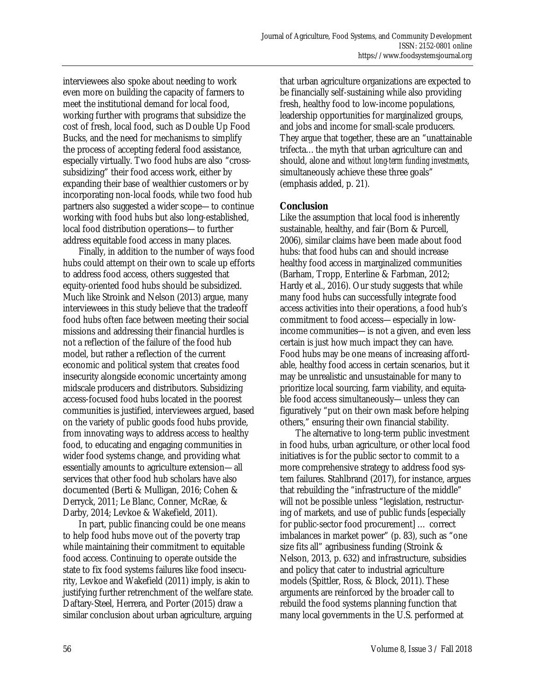interviewees also spoke about needing to work even more on building the capacity of farmers to meet the institutional demand for local food, working further with programs that subsidize the cost of fresh, local food, such as Double Up Food Bucks, and the need for mechanisms to simplify the process of accepting federal food assistance, especially virtually. Two food hubs are also "crosssubsidizing" their food access work, either by expanding their base of wealthier customers or by incorporating non-local foods, while two food hub partners also suggested a wider scope—to continue working with food hubs but also long-established, local food distribution operations—to further address equitable food access in many places.

 Finally, in addition to the number of ways food hubs could attempt on their own to scale up efforts to address food access, others suggested that equity-oriented food hubs should be subsidized. Much like Stroink and Nelson (2013) argue, many interviewees in this study believe that the tradeoff food hubs often face between meeting their social missions and addressing their financial hurdles is not a reflection of the failure of the food hub model, but rather a reflection of the current economic and political system that creates food insecurity alongside economic uncertainty among midscale producers and distributors. Subsidizing access-focused food hubs located in the poorest communities is justified, interviewees argued, based on the variety of public goods food hubs provide, from innovating ways to address access to healthy food, to educating and engaging communities in wider food systems change, and providing what essentially amounts to agriculture extension—all services that other food hub scholars have also documented (Berti & Mulligan, 2016; Cohen & Derryck, 2011; Le Blanc, Conner, McRae, & Darby, 2014; Levkoe & Wakefield, 2011).

 In part, public financing could be one means to help food hubs move out of the poverty trap while maintaining their commitment to equitable food access. Continuing to operate outside the state to fix food systems failures like food insecurity, Levkoe and Wakefield (2011) imply, is akin to justifying further retrenchment of the welfare state. Daftary-Steel, Herrera, and Porter (2015) draw a similar conclusion about urban agriculture, arguing

that urban agriculture organizations are expected to be financially self-sustaining while also providing fresh, healthy food to low-income populations, leadership opportunities for marginalized groups, and jobs and income for small-scale producers. They argue that together, these are an "unattainable trifecta…the myth that urban agriculture can and should, alone and *without long-term funding investments*, simultaneously achieve these three goals" (emphasis added, p. 21).

# **Conclusion**

Like the assumption that local food is inherently sustainable, healthy, and fair (Born & Purcell, 2006), similar claims have been made about food hubs: that food hubs can and should increase healthy food access in marginalized communities (Barham, Tropp, Enterline & Farbman, 2012; Hardy et al., 2016). Our study suggests that while many food hubs can successfully integrate food access activities into their operations, a food hub's commitment to food access—especially in lowincome communities—is not a given, and even less certain is just how much impact they can have. Food hubs may be one means of increasing affordable, healthy food access in certain scenarios, but it may be unrealistic and unsustainable for many to prioritize local sourcing, farm viability, and equitable food access simultaneously—unless they can figuratively "put on their own mask before helping others," ensuring their own financial stability.

 The alternative to long-term public investment in food hubs, urban agriculture, or other local food initiatives is for the public sector to commit to a more comprehensive strategy to address food system failures. Stahlbrand (2017), for instance, argues that rebuilding the "infrastructure of the middle" will not be possible unless "legislation, restructuring of markets, and use of public funds [especially for public-sector food procurement] … correct imbalances in market power" (p. 83), such as "one size fits all" agribusiness funding (Stroink & Nelson, 2013, p. 632) and infrastructure, subsidies and policy that cater to industrial agriculture models (Spittler, Ross, & Block, 2011). These arguments are reinforced by the broader call to rebuild the food systems planning function that many local governments in the U.S. performed at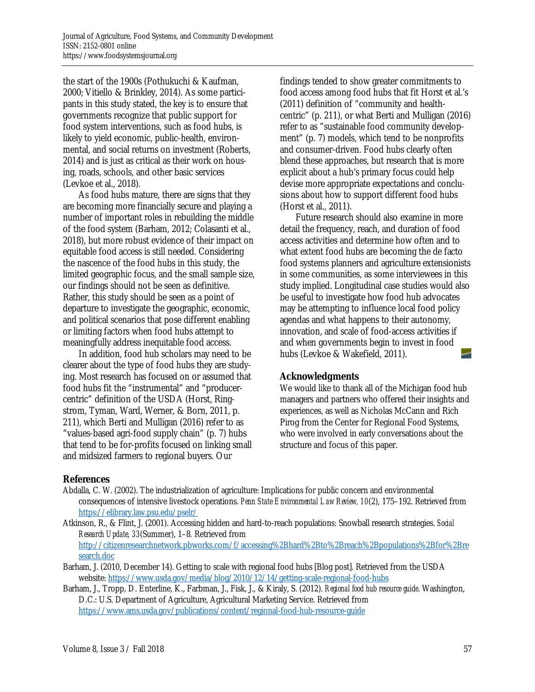the start of the 1900s (Pothukuchi & Kaufman, 2000; Vitiello & Brinkley, 2014). As some participants in this study stated, the key is to ensure that governments recognize that public support for food system interventions, such as food hubs, is likely to yield economic, public-health, environmental, and social returns on investment (Roberts, 2014) and is just as critical as their work on housing, roads, schools, and other basic services (Levkoe et al., 2018).

 As food hubs mature, there are signs that they are becoming more financially secure and playing a number of important roles in rebuilding the middle of the food system (Barham, 2012; Colasanti et al., 2018), but more robust evidence of their impact on equitable food access is still needed. Considering the nascence of the food hubs in this study, the limited geographic focus, and the small sample size, our findings should not be seen as definitive. Rather, this study should be seen as a point of departure to investigate the geographic, economic, and political scenarios that pose different enabling or limiting factors when food hubs attempt to meaningfully address inequitable food access.

 In addition, food hub scholars may need to be clearer about the type of food hubs they are studying. Most research has focused on or assumed that food hubs fit the "instrumental" and "producercentric" definition of the USDA (Horst, Ringstrom, Tyman, Ward, Werner, & Born, 2011, p. 211), which Berti and Mulligan (2016) refer to as "values-based agri-food supply chain" (p. 7) hubs that tend to be for-profits focused on linking small and midsized farmers to regional buyers. Our

findings tended to show greater commitments to food access among food hubs that fit Horst et al.'s (2011) definition of "community and healthcentric" (p. 211), or what Berti and Mulligan (2016) refer to as "sustainable food community development" (p. 7) models, which tend to be nonprofits and consumer-driven. Food hubs clearly often blend these approaches, but research that is more explicit about a hub's primary focus could help devise more appropriate expectations and conclusions about how to support different food hubs (Horst et al., 2011).

 Future research should also examine in more detail the frequency, reach, and duration of food access activities and determine how often and to what extent food hubs are becoming the de facto food systems planners and agriculture extensionists in some communities, as some interviewees in this study implied. Longitudinal case studies would also be useful to investigate how food hub advocates may be attempting to influence local food policy agendas and what happens to their autonomy, innovation, and scale of food-access activities if and when governments begin to invest in food hubs (Levkoe & Wakefield, 2011).

# **Acknowledgments**

We would like to thank all of the Michigan food hub managers and partners who offered their insights and experiences, as well as Nicholas McCann and Rich Pirog from the Center for Regional Food Systems, who were involved in early conversations about the structure and focus of this paper.

# **References**

- Abdalla, C. W. (2002). The industrialization of agriculture: Implications for public concern and environmental consequences of intensive livestock operations. *Penn State Environmental Law Review, 10*(2), 175–192. Retrieved from https://elibrary.law.psu.edu/pselr/
- Atkinson, R., & Flint, J. (2001). Accessing hidden and hard-to-reach populations: Snowball research strategies. *Social Research Update, 33*(Summer), 1–8*.* Retrieved from [http://citizenresearchnetwork.pbworks.com/f/accessing%2Bhard%2Bto%2Breach%2Bpopulations%2Bfor%2Bre](http://citizenresearchnetwork.pbworks.com/f/accessing%2Bhard%2Bto%2Breach%2Bpopulations%2Bfor%2Bresearch.doc) search.doc
- Barham, J. (2010, December 14). Getting to scale with regional food hubs [Blog post]. Retrieved from the USDA website: https://www.usda.gov/media/blog/2010/12/14/getting-scale-regional-food-hubs
- Barham, J., Tropp, D. Enterline, K., Farbman, J., Fisk, J., & Kiraly, S. (2012). *Regional food hub resource guide*. Washington, D.C.: U.S. Department of Agriculture, Agricultural Marketing Service. Retrieved from https://www.ams.usda.gov/publications/content/regional-food-hub-resource-guide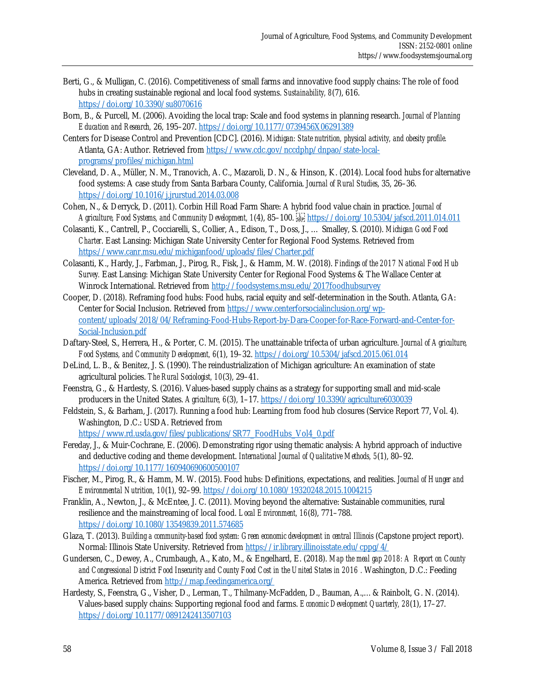- Berti, G., & Mulligan, C. (2016). Competitiveness of small farms and innovative food supply chains: The role of food hubs in creating sustainable regional and local food systems. *Sustainability, 8*(7), 616. https://doi.org/10.3390/su8070616
- Born, B., & Purcell, M. (2006). Avoiding the local trap: Scale and food systems in planning research. *Journal of Planning Education and Research,* 26, 195–207. https://doi.org/10.1177/0739456X06291389
- Centers for Disease Control and Prevention [CDC]. (2016). *Michigan: State nutrition, physical activity, and obesity profile.* [Atlanta, GA: Author. Retrieved from https://www.cdc.gov/nccdphp/dnpao/state-local](https://www.cdc.gov/nccdphp/dnpao/state-local-programs/profiles/michigan.html)programs/profiles/michigan.html
- Cleveland, D. A., Müller, N. M., Tranovich, A. C., Mazaroli, D. N., & Hinson, K. (2014). Local food hubs for alternative food systems: A case study from Santa Barbara County, California. *Journal of Rural Studies*, 35, 26–36. https://doi.org/10.1016/j.jrurstud.2014.03.008
- Cohen, N., & Derryck, D. (2011). Corbin Hill Road Farm Share: A hybrid food value chain in practice. *Journal of Agriculture, Food Systems, and Community Development, 1*(4), 85–100. https://doi.org/10.5304/jafscd.2011.014.011
- Colasanti, K., Cantrell, P., Cocciarelli, S., Collier, A., Edison, T., Doss, J., … Smalley, S. (2010). *Michigan Good Food Charter*. East Lansing: Michigan State University Center for Regional Food Systems. Retrieved from https://www.canr.msu.edu/michiganfood/uploads/files/Charter.pdf
- Colasanti, K., Hardy, J., Farbman, J., Pirog, R., Fisk, J., & Hamm, M. W. (2018). *Findings of the 2017 National Food Hub Survey.* East Lansing: Michigan State University Center for Regional Food Systems & The Wallace Center at Winrock International. Retrieved from http://foodsystems.msu.edu/2017foodhubsurvey
- Cooper, D. (2018). Reframing food hubs: Food hubs, racial equity and self-determination in the South. Atlanta, GA: Center for Social Inclusion. Retrieved from https://www.centerforsocialinclusion.org/wp[content/uploads/2018/04/Reframing-Food-Hubs-Report-by-Dara-Cooper-for-Race-Forward-and-Center-for-](https://www.centerforsocialinclusion.org/wp-content/uploads/2018/04/Reframing-Food-Hubs-Report-by-Dara-Cooper-for-Race-Forward-and-Center-for-Social-Inclusion.pdf)Social-Inclusion.pdf
- Daftary-Steel, S., Herrera, H., & Porter, C. M. (2015). The unattainable trifecta of urban agriculture. *Journal of Agriculture, Food Systems, and Community Development, 6*(1), 19–32. https://doi.org/10.5304/jafscd.2015.061.014
- DeLind, L. B., & Benitez, J. S. (1990). The reindustrialization of Michigan agriculture: An examination of state agricultural policies. *The Rural Sociologist, 10*(3), 29–41.
- Feenstra, G., & Hardesty, S. (2016). Values-based supply chains as a strategy for supporting small and mid-scale producers in the United States. *Agriculture, 6*(3), 1–17. https://doi.org/10.3390/agriculture6030039
- Feldstein, S., & Barham, J. (2017). Running a food hub: Learning from food hub closures (Service Report 77, Vol. 4). Washington, D.C.: USDA. Retrieved from

https://www.rd.usda.gov/files/publications/SR77\_FoodHubs\_Vol4\_0.pdf

- Fereday, J., & Muir-Cochrane, E. (2006). Demonstrating rigor using thematic analysis: A hybrid approach of inductive and deductive coding and theme development. *International Journal of Qualitative Methods, 5*(1), 80–92. https://doi.org/10.1177/160940690600500107
- Fischer, M., Pirog, R., & Hamm, M. W. (2015). Food hubs: Definitions, expectations, and realities. *Journal of Hunger and Environmental Nutrition, 10*(1), 92–99. https://doi.org/10.1080/19320248.2015.1004215
- Franklin, A., Newton, J., & McEntee, J. C. (2011). Moving beyond the alternative: Sustainable communities, rural resilience and the mainstreaming of local food. *Local Environment, 16*(8), 771–788. https://doi.org/10.1080/13549839.2011.574685
- Glaza, T. (2013). *Building a community-based food system: Green economic development in central Illinois* (Capstone project report). Normal: Illinois State University. Retrieved from https://ir.library.illinoisstate.edu/cppg/4/
- Gundersen, C., Dewey, A., Crumbaugh, A., Kato, M., & Engelhard, E. (2018). *Map the meal gap 2018: A Report on County*  and Congressional District Food Insecurity and County Food Cost in the United States in 2016 . Washington, D.C.: Feeding America. Retrieved from http://map.feedingamerica.org/
- Hardesty, S., Feenstra, G., Visher, D., Lerman, T., Thilmany-McFadden, D., Bauman, A.,…& Rainbolt, G. N. (2014). Values-based supply chains: Supporting regional food and farms. *Economic Development Quarterly, 28*(1), 17–27. https://doi.org/10.1177/0891242413507103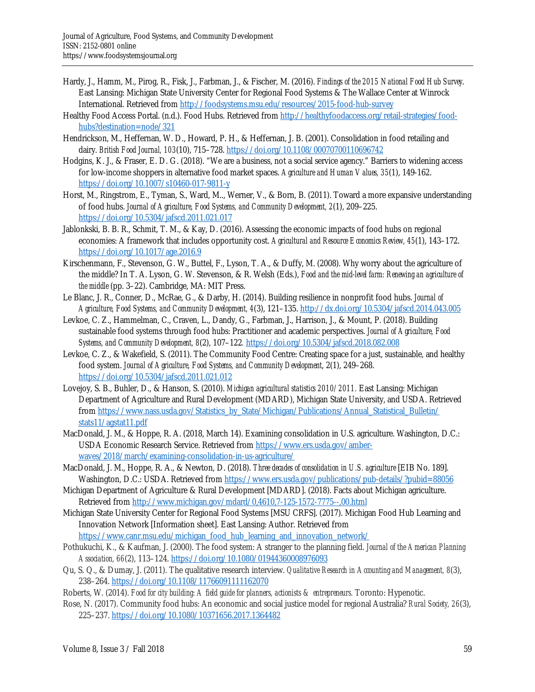- Hardy, J., Hamm, M., Pirog, R., Fisk, J., Farbman, J., & Fischer, M. (2016). *Findings of the 2015 National Food Hub Survey*. East Lansing: Michigan State University Center for Regional Food Systems & The Wallace Center at Winrock International. Retrieved from http://foodsystems.msu.edu/resources/2015-food-hub-survey
- Hea[lthy Food Access Portal. \(n.d.\). Food Hubs. Retrieved from http://healthyfoodaccess.org/retail-strategies/food](http://healthyfoodaccess.org/retail-strategies/food-hubs?destination=node/321)hubs?destination=node/321
- Hendrickson, M., Heffernan, W. D., Howard, P. H., & Heffernan, J. B. (2001). Consolidation in food retailing and dairy. *British Food Journal, 103*(10), 715–728. https://doi.org/10.1108/00070700110696742
- Hodgins, K. J., & Fraser, E. D. G. (2018). "We are a business, not a social service agency." Barriers to widening access for low-income shoppers in alternative food market spaces. *Agriculture and Human Values, 35*(1), 149-162. https://doi.org/10.1007/s10460-017-9811-y
- Horst, M., Ringstrom, E., Tyman, S., Ward, M.., Werner, V., & Born, B. (2011). Toward a more expansive understanding of food hubs. *Journal of Agriculture, Food Systems, and Community Development, 2*(1), 209–225. https://doi.org/10.5304/jafscd.2011.021.017
- Jablonkski, B. B. R., Schmit, T. M., & Kay, D. (2016). Assessing the economic impacts of food hubs on regional economies: A framework that includes opportunity cost. *Agricultural and Resource Economics Review, 45*(1), 143–172. https://doi.org/10.1017/age.2016.9
- Kirschenmann, F., Stevenson, G. W., Buttel, F., Lyson, T. A., & Duffy, M. (2008). Why worry about the agriculture of the middle? In T. A. Lyson, G. W. Stevenson, & R. Welsh (Eds.), *Food and the mid-level farm: Renewing an agriculture of the middle* (pp. 3–22). Cambridge, MA: MIT Press.
- Le Blanc, J. R., Conner, D., McRae, G., & Darby, H. (2014). Building resilience in nonprofit food hubs. *Journal of Agriculture, Food Systems, and Community Development, 4*(3), 121–135. http://dx.doi.org/10.5304/jafscd.2014.043.005
- Levkoe, C. Z., Hammelman, C., Craven, L., Dandy, G., Farbman, J., Harrison, J., & Mount, P. (2018). Building sustainable food systems through food hubs: Practitioner and academic perspectives. *Journal of Agriculture, Food Systems, and Community Development, 8*(2), 107–122*.* https://doi.org/10.5304/jafscd.2018.082.008
- Levkoe, C. Z., & Wakefield, S. (2011). The Community Food Centre: Creating space for a just, sustainable, and healthy food system. *Journal of Agriculture, Food Systems, and Community Development*, 2(1), 249–268. https://doi.org/10.5304/jafscd.2011.021.012
- Lovejoy, S. B., Buhler, D., & Hanson, S. (2010). *Michigan agricultural statistics 2010/2011.* East Lansing: Michigan Department of Agriculture and Rural Development (MDARD), Michigan State University, and USDA. Retrieved [from https://www.nass.usda.gov/Statistics\\_by\\_State/Michigan/Publications/Annual\\_Statistical\\_Bulletin/](https://www.nass.usda.gov/Statistics_by_State/Michigan/Publications/Annual_Statistical_Bulletin/stats11/agstat11.pdf) stats11/agstat11.pdf
- MacDonald, J. M., & Hoppe, R. A. (2018, March 14). Examining consolidation in U.S. agriculture. Washington, D.C.: [USDA Economic Research Service. Retrieved from https://www.ers.usda.gov/amber](https://www.ers.usda.gov/amber-waves/2018/march/examining-consolidation-in-us-agriculture/)waves/2018/march/examining-consolidation-in-us-agriculture/
- MacDonald, J. M., Hoppe, R. A., & Newton, D. (2018). *Three decades of consolidation in U.S. agriculture* [EIB No. 189]. Washington, D.C.: USDA. Retrieved from https://www.ers.usda.gov/publications/pub-details/?pubid=88056
- Michigan Department of Agriculture & Rural Development [MDARD]. (2018). Facts about Michigan agriculture. Retrieved from<http://www.michigan.gov/mdard/0,4610,7-125-1572-7775--,00.html>
- Michigan State University Center for Regional Food Systems [MSU CRFS]. (2017). Michigan Food Hub Learning and Innovation Network [Information sheet]. East Lansing: Author. Retrieved from https://www.canr.msu.edu/michigan\_food\_hub\_learning\_and\_innovation\_network/
- Pothukuchi, K., & Kaufman, J. (2000). The food system: A stranger to the planning field. *Journal of the American Planning Association, 66*(2), 113–124. https://doi.org/10.1080/01944360008976093
- Qu, S. Q., & Dumay, J. (2011). The qualitative research interview. *Qualitative Research in Accounting and Management, 8*(3), 238–264. https://doi.org/10.1108/11766091111162070
- Roberts, W. (2014). *Food for city building*: *A field guide for planners, actionists & entrepreneurs.* Toronto: Hypenotic.
- Rose, N. (2017). Community food hubs: An economic and social justice model for regional Australia? *Rural Society, 26*(3), 225–237. https://doi.org/10.1080/10371656.2017.1364482